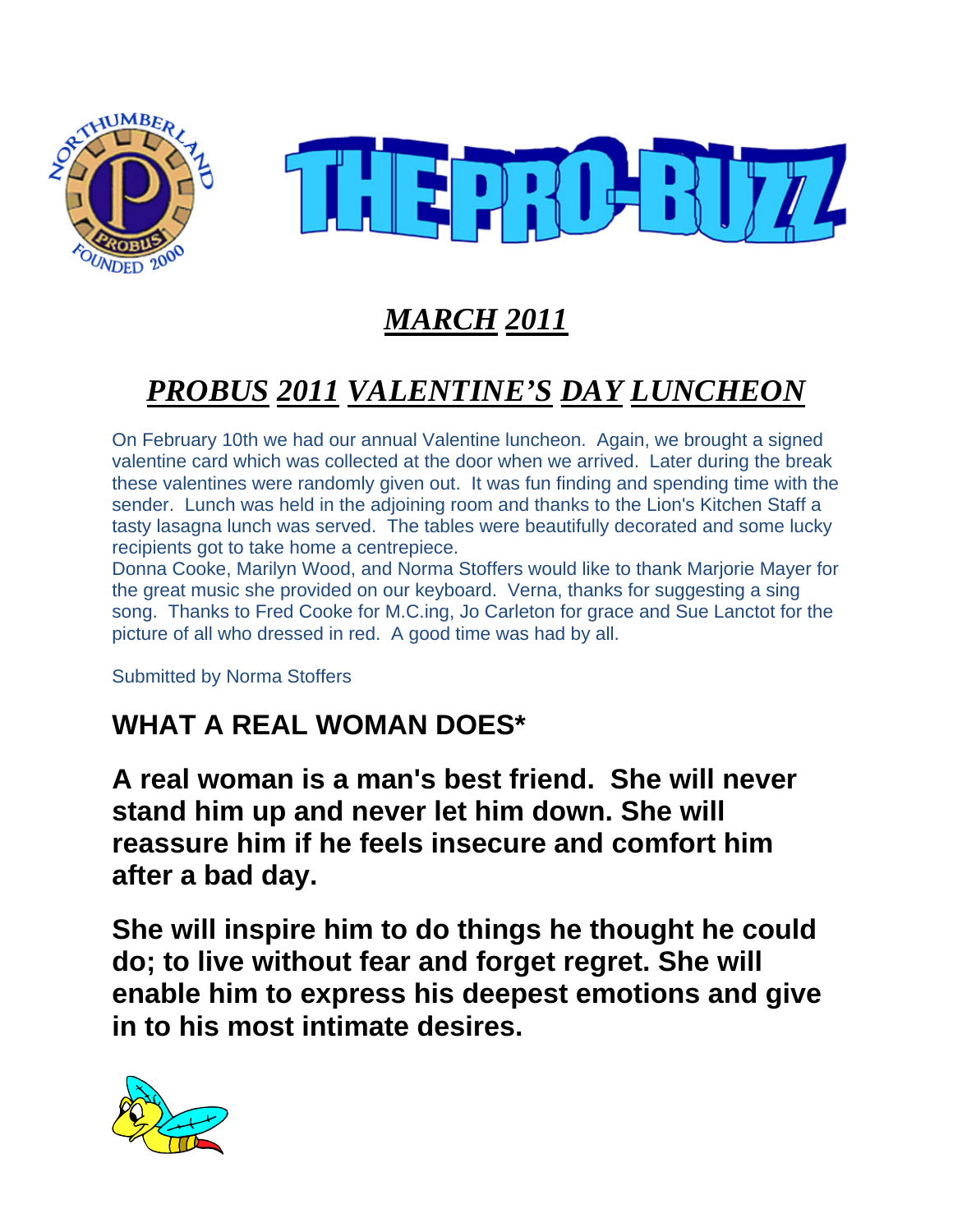



# *MARCH 2011*

# *PROBUS 2011 VALENTINE'S DAY LUNCHEON*

On February 10th we had our annual Valentine luncheon. Again, we brought a signed valentine card which was collected at the door when we arrived. Later during the break these valentines were randomly given out. It was fun finding and spending time with the sender. Lunch was held in the adjoining room and thanks to the Lion's Kitchen Staff a tasty lasagna lunch was served. The tables were beautifully decorated and some lucky recipients got to take home a centrepiece.

Donna Cooke, Marilyn Wood, and Norma Stoffers would like to thank Marjorie Mayer for the great music she provided on our keyboard. Verna, thanks for suggesting a sing song. Thanks to Fred Cooke for M.C.ing, Jo Carleton for grace and Sue Lanctot for the picture of all who dressed in red. A good time was had by all.

Submitted by Norma Stoffers

## **WHAT A REAL WOMAN DOES\***

**A real woman is a man's best friend. She will never stand him up and never let him down. She will reassure him if he feels insecure and comfort him after a bad day.**

**She will inspire him to do things he thought he could do; to live without fear and forget regret. She will enable him to express his deepest emotions and give in to his most intimate desires.**

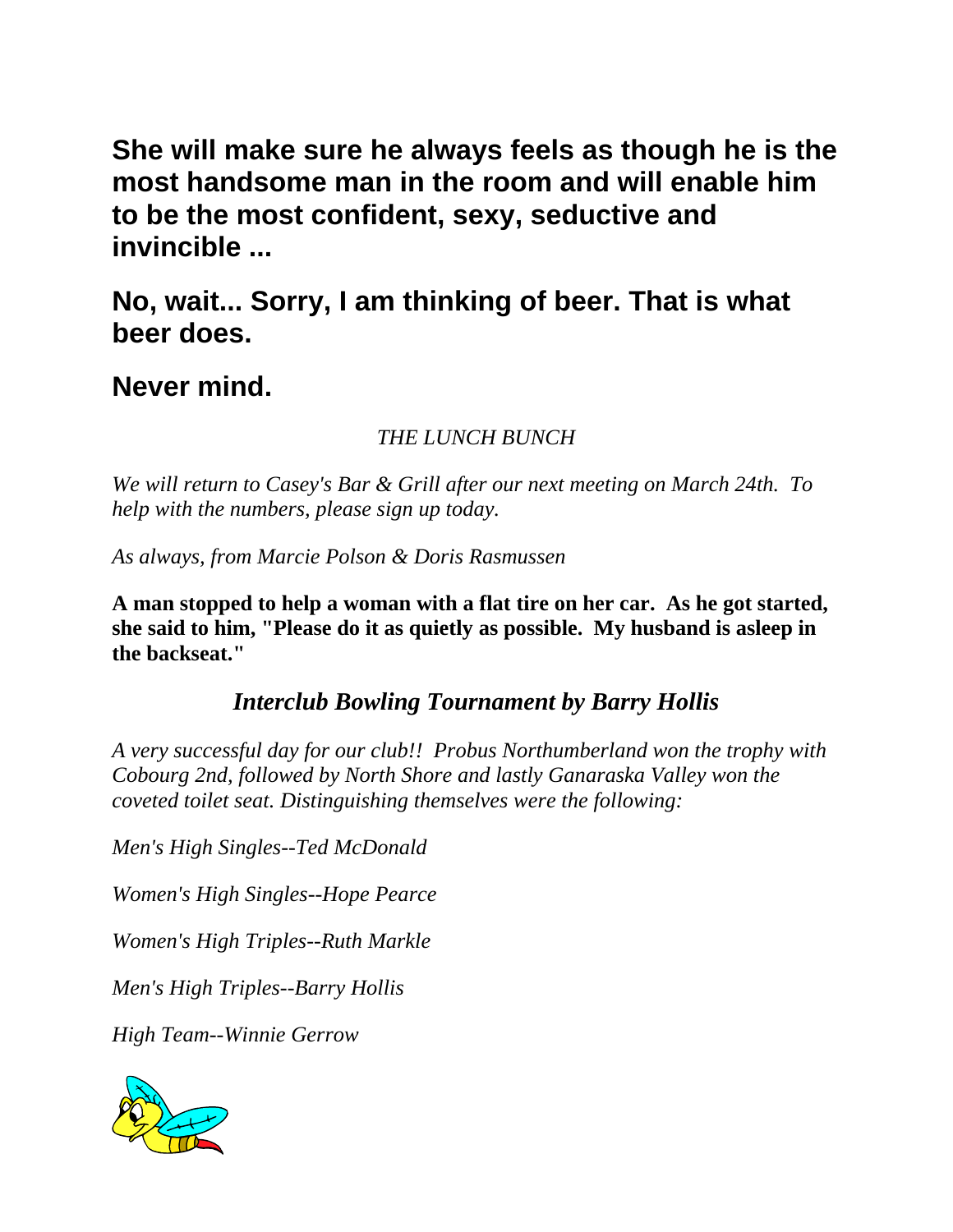**She will make sure he always feels as though he is the most handsome man in the room and will enable him to be the most confident, sexy, seductive and invincible ...**

**No, wait... Sorry, I am thinking of beer. That is what beer does.**

**Never mind.**

*THE LUNCH BUNCH* 

*We will return to Casey's Bar & Grill after our next meeting on March 24th. To help with the numbers, please sign up today.* 

*As always, from Marcie Polson & Doris Rasmussen* 

**A man stopped to help a woman with a flat tire on her car. As he got started, she said to him, "Please do it as quietly as possible. My husband is asleep in the backseat."** 

*Interclub Bowling Tournament by Barry Hollis* 

*A very successful day for our club!! Probus Northumberland won the trophy with Cobourg 2nd, followed by North Shore and lastly Ganaraska Valley won the coveted toilet seat. Distinguishing themselves were the following:* 

*Men's High Singles--Ted McDonald* 

*Women's High Singles--Hope Pearce* 

*Women's High Triples--Ruth Markle* 

*Men's High Triples--Barry Hollis* 

*High Team--Winnie Gerrow* 

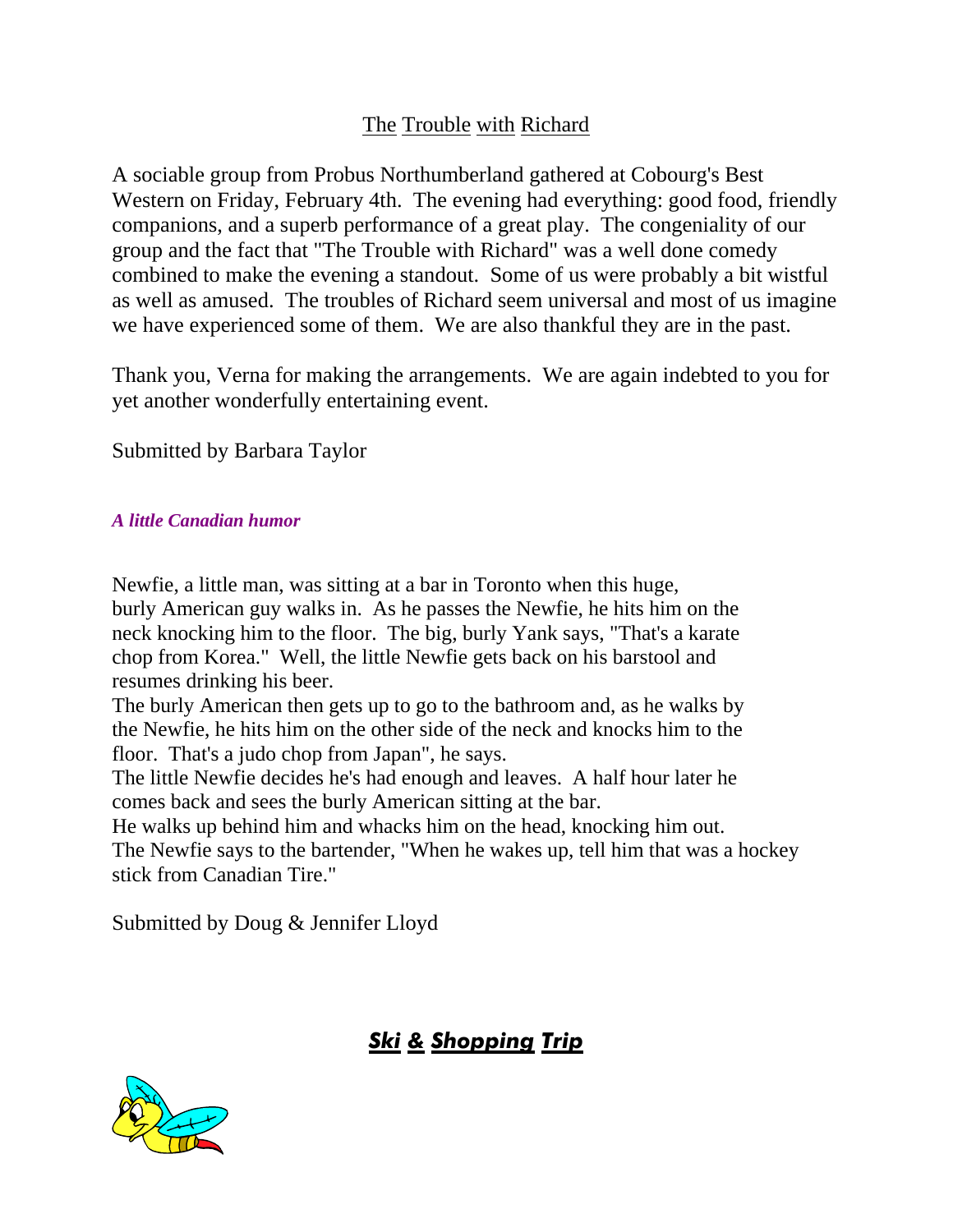#### The Trouble with Richard

A sociable group from Probus Northumberland gathered at Cobourg's Best Western on Friday, February 4th. The evening had everything: good food, friendly companions, and a superb performance of a great play. The congeniality of our group and the fact that "The Trouble with Richard" was a well done comedy combined to make the evening a standout. Some of us were probably a bit wistful as well as amused. The troubles of Richard seem universal and most of us imagine we have experienced some of them. We are also thankful they are in the past.

Thank you, Verna for making the arrangements. We are again indebted to you for yet another wonderfully entertaining event.

Submitted by Barbara Taylor

#### *A little Canadian humor*

Newfie, a little man, was sitting at a bar in Toronto when this huge, burly American guy walks in. As he passes the Newfie, he hits him on the neck knocking him to the floor. The big, burly Yank says, "That's a karate chop from Korea." Well, the little Newfie gets back on his barstool and resumes drinking his beer.

The burly American then gets up to go to the bathroom and, as he walks by the Newfie, he hits him on the other side of the neck and knocks him to the floor. That's a judo chop from Japan", he says.

The little Newfie decides he's had enough and leaves. A half hour later he comes back and sees the burly American sitting at the bar.

He walks up behind him and whacks him on the head, knocking him out. The Newfie says to the bartender, "When he wakes up, tell him that was a hockey stick from Canadian Tire."

Submitted by Doug & Jennifer Lloyd

## *Ski & Shopping Trip*

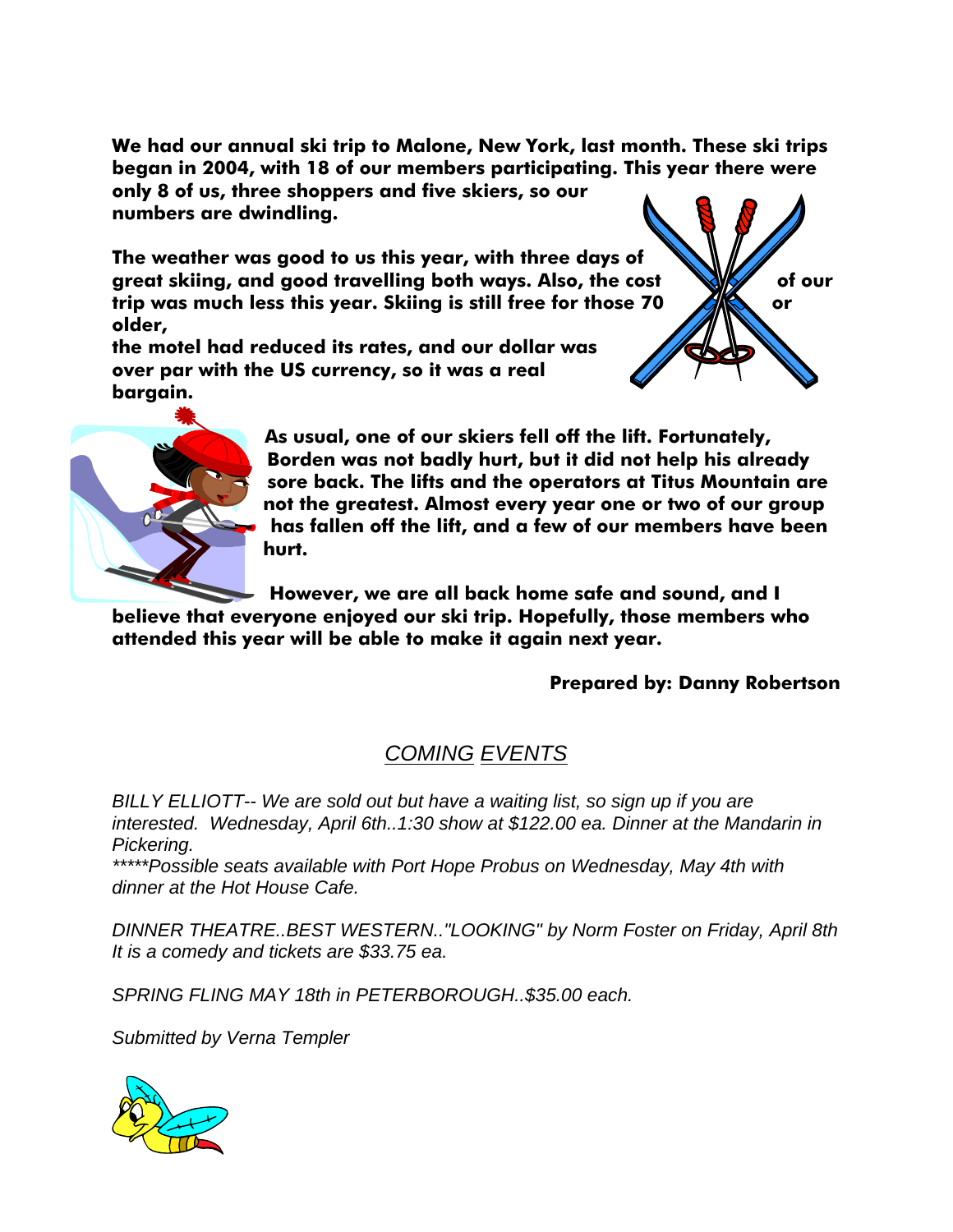**We had our annual ski trip to Malone, New York, last month. These ski trips began in 2004, with 18 of our members participating. This year there were** 

**only 8 of us, three shoppers and five skiers, so our numbers are dwindling.** 

**The weather was good to us this year, with three days of**  great skiing, and good travelling both ways. Also, the cost **WAY** of our trip was much less this year. Skiing is still free for those 70 **ARS** or **older,** 

**the motel had reduced its rates, and our dollar was over par with the US currency, so it was a real bargain.** 





**As usual, one of our skiers fell off the lift. Fortunately, Borden was not badly hurt, but it did not help his already sore back. The lifts and the operators at Titus Mountain are not the greatest. Almost every year one or two of our group has fallen off the lift, and a few of our members have been hurt.** 

**However, we are all back home safe and sound, and I** 

**believe that everyone enjoyed our ski trip. Hopefully, those members who attended this year will be able to make it again next year.** 

#### **Prepared by: Danny Robertson**

#### *COMING EVENTS*

*BILLY ELLIOTT-- We are sold out but have a waiting list, so sign up if you are interested. Wednesday, April 6th..1:30 show at \$122.00 ea. Dinner at the Mandarin in Pickering.* 

*\*\*\*\*\*Possible seats available with Port Hope Probus on Wednesday, May 4th with dinner at the Hot House Cafe.* 

*DINNER THEATRE..BEST WESTERN.."LOOKING" by Norm Foster on Friday, April 8th It is a comedy and tickets are \$33.75 ea.* 

*SPRING FLING MAY 18th in PETERBOROUGH..\$35.00 each.* 

*Submitted by Verna Templer*